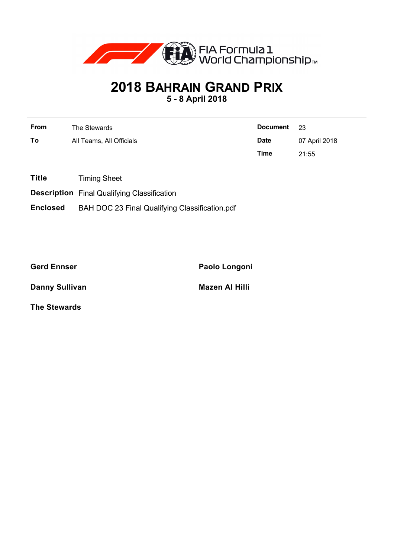

## **2018 BAHRAIN GRAND PRIX**

**5 - 8 April 2018**

| From | The Stewards             | Document 23 |               |
|------|--------------------------|-------------|---------------|
| To   | All Teams, All Officials | <b>Date</b> | 07 April 2018 |
|      |                          | Time        | 21:55         |

**Title** Timing Sheet

**Description** Final Qualifying Classification

**Enclosed** BAH DOC 23 Final Qualifying Classification.pdf

**Gerd Ennser Paolo Longoni**

**Danny Sullivan Mazen Al Hilli** 

**The Stewards**